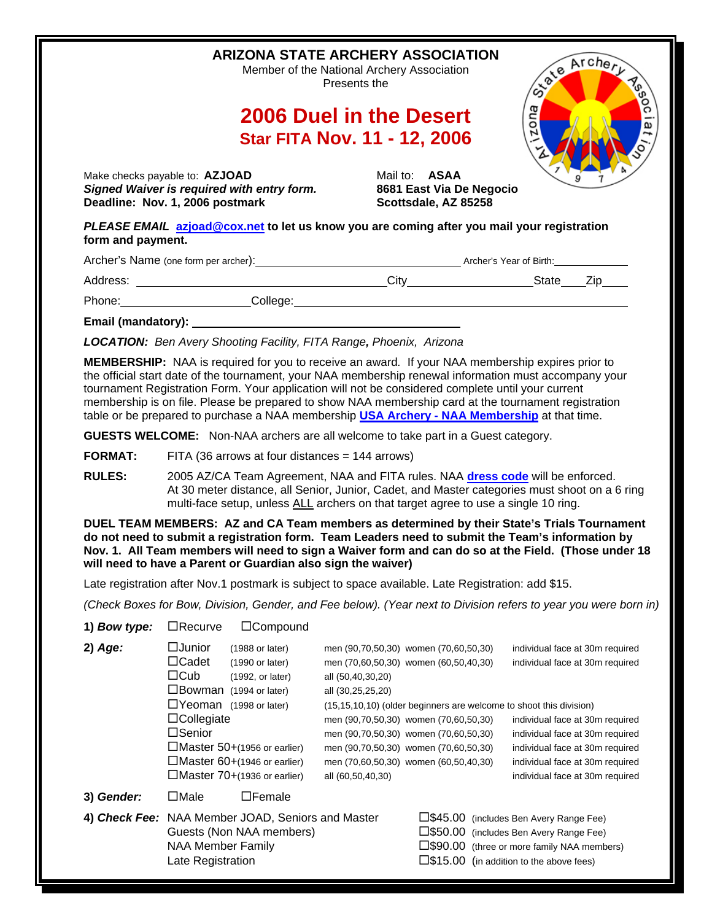|                   | <b>ARIZONA STATE ARCHERY ASSOCIATION</b>                                                                                                                                                                                                                                                                                                                                                       | Member of the National Archery Association<br>Presents the                                                               |                                                  | Cycle Archery<br><b>Read</b>                                                                                                                                                           |
|-------------------|------------------------------------------------------------------------------------------------------------------------------------------------------------------------------------------------------------------------------------------------------------------------------------------------------------------------------------------------------------------------------------------------|--------------------------------------------------------------------------------------------------------------------------|--------------------------------------------------|----------------------------------------------------------------------------------------------------------------------------------------------------------------------------------------|
|                   |                                                                                                                                                                                                                                                                                                                                                                                                | 2006 Duel in the Desert                                                                                                  |                                                  | zona<br>ه                                                                                                                                                                              |
|                   |                                                                                                                                                                                                                                                                                                                                                                                                | <b>Star FITA Nov. 11 - 12, 2006</b>                                                                                      |                                                  |                                                                                                                                                                                        |
|                   | Make checks payable to: AZJOAD<br>Signed Waiver is required with entry form.<br>Deadline: Nov. 1, 2006 postmark                                                                                                                                                                                                                                                                                | Mail to: <b>ASAA</b>                                                                                                     | 8681 East Via De Negocio<br>Scottsdale, AZ 85258 |                                                                                                                                                                                        |
| form and payment. | PLEASE EMAIL azjoad@cox.net to let us know you are coming after you mail your registration                                                                                                                                                                                                                                                                                                     |                                                                                                                          |                                                  |                                                                                                                                                                                        |
|                   |                                                                                                                                                                                                                                                                                                                                                                                                |                                                                                                                          |                                                  |                                                                                                                                                                                        |
|                   |                                                                                                                                                                                                                                                                                                                                                                                                |                                                                                                                          |                                                  |                                                                                                                                                                                        |
|                   | Phone: College: College: College: College: College: College: College: College: College: College: College: College: College: College: College: College: College: College: College: College: College: College: College: College:                                                                                                                                                                 |                                                                                                                          |                                                  |                                                                                                                                                                                        |
|                   | Email (mandatory): <u>contract and the contract of the contract of the contract of the contract of the contract of the contract of the contract of the contract of the contract of the contract of the contract of the contract </u>                                                                                                                                                           |                                                                                                                          |                                                  |                                                                                                                                                                                        |
|                   | <b>LOCATION:</b> Ben Avery Shooting Facility, FITA Range, Phoenix, Arizona                                                                                                                                                                                                                                                                                                                     |                                                                                                                          |                                                  |                                                                                                                                                                                        |
|                   | tournament Registration Form. Your application will not be considered complete until your current<br>membership is on file. Please be prepared to show NAA membership card at the tournament registration<br>table or be prepared to purchase a NAA membership USA Archery - NAA Membership at that time.<br>GUESTS WELCOME: Non-NAA archers are all welcome to take part in a Guest category. |                                                                                                                          |                                                  |                                                                                                                                                                                        |
|                   |                                                                                                                                                                                                                                                                                                                                                                                                |                                                                                                                          |                                                  |                                                                                                                                                                                        |
| <b>FORMAT:</b>    | FITA (36 arrows at four distances $= 144$ arrows)                                                                                                                                                                                                                                                                                                                                              |                                                                                                                          |                                                  |                                                                                                                                                                                        |
| <b>RULES:</b>     | 2005 AZ/CA Team Agreement, NAA and FITA rules. NAA dress code will be enforced.<br>At 30 meter distance, all Senior, Junior, Cadet, and Master categories must shoot on a 6 ring<br>multi-face setup, unless ALL archers on that target agree to use a single 10 ring.                                                                                                                         |                                                                                                                          |                                                  |                                                                                                                                                                                        |
|                   | DUEL TEAM MEMBERS: AZ and CA Team members as determined by their State's Trials Tournament<br>do not need to submit a registration form. Team Leaders need to submit the Team's information by<br>Nov. 1. All Team members will need to sign a Waiver form and can do so at the Field. (Those under 18<br>will need to have a Parent or Guardian also sign the waiver)                         |                                                                                                                          |                                                  |                                                                                                                                                                                        |
|                   | Late registration after Nov.1 postmark is subject to space available. Late Registration: add \$15.                                                                                                                                                                                                                                                                                             |                                                                                                                          |                                                  |                                                                                                                                                                                        |
|                   | (Check Boxes for Bow, Division, Gender, and Fee below). (Year next to Division refers to year you were born in)                                                                                                                                                                                                                                                                                |                                                                                                                          |                                                  |                                                                                                                                                                                        |
| 1) Bow type:      | $\Box$ Recurve<br>□Compound                                                                                                                                                                                                                                                                                                                                                                    |                                                                                                                          |                                                  |                                                                                                                                                                                        |
| $2)$ Age:         | $\Box$ Junior<br>(1988 or later)<br>$\Box$ Cadet<br>(1990 or later)<br>$\Box$ Cub<br>(1992, or later)<br>□Bowman (1994 or later)<br>□Yeoman (1998 or later)                                                                                                                                                                                                                                    | men (90,70,50,30) women (70,60,50,30)<br>men (70,60,50,30) women (60,50,40,30)<br>all (50,40,30,20)<br>all (30,25,25,20) |                                                  | individual face at 30m required<br>individual face at 30m required                                                                                                                     |
|                   | $\Box$ Collegiate                                                                                                                                                                                                                                                                                                                                                                              | (15,15,10,10) (older beginners are welcome to shoot this division)<br>men (90,70,50,30) women (70,60,50,30)              |                                                  | individual face at 30m required                                                                                                                                                        |
|                   | □Senior                                                                                                                                                                                                                                                                                                                                                                                        | men (90,70,50,30) women (70,60,50,30)                                                                                    |                                                  | individual face at 30m required                                                                                                                                                        |
|                   | □Master 50+(1956 or earlier)<br>$\Box$ Master 60+(1946 or earlier)<br>$\Box$ Master 70+(1936 or earlier)                                                                                                                                                                                                                                                                                       | men (90,70,50,30) women (70,60,50,30)<br>men (70,60,50,30) women (60,50,40,30)<br>all (60,50,40,30)                      |                                                  | individual face at 30m required<br>individual face at 30m required<br>individual face at 30m required                                                                                  |
| 3) Gender:        | $\Box$ Male<br>$\Box$ Female                                                                                                                                                                                                                                                                                                                                                                   |                                                                                                                          |                                                  |                                                                                                                                                                                        |
|                   | 4) Check Fee: NAA Member JOAD, Seniors and Master<br>Guests (Non NAA members)<br><b>NAA Member Family</b><br>Late Registration                                                                                                                                                                                                                                                                 |                                                                                                                          |                                                  | □\$45.00 (includes Ben Avery Range Fee)<br>□\$50.00 (includes Ben Avery Range Fee)<br>□\$90.00 (three or more family NAA members)<br>$\square$ \$15.00 (in addition to the above fees) |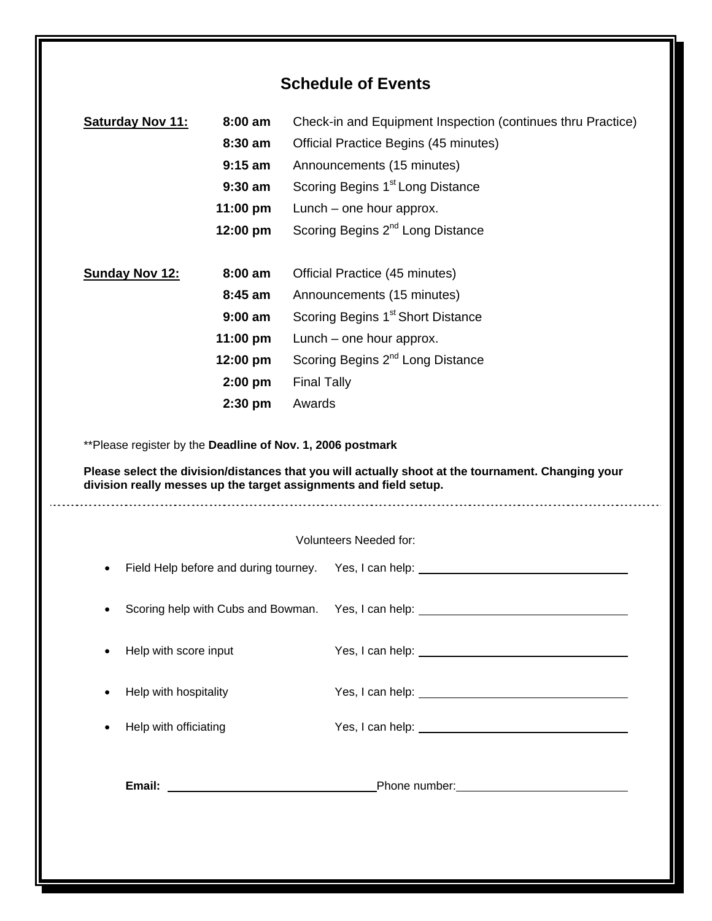## **Schedule of Events**

|                       | 8:30 am                               | Official Practice Begins (45 minutes)                                                                                                                                                                                                 |
|-----------------------|---------------------------------------|---------------------------------------------------------------------------------------------------------------------------------------------------------------------------------------------------------------------------------------|
|                       | $9:15$ am                             | Announcements (15 minutes)                                                                                                                                                                                                            |
|                       | $9:30$ am                             | Scoring Begins 1 <sup>st</sup> Long Distance                                                                                                                                                                                          |
|                       | 11:00 pm                              | Lunch – one hour approx.                                                                                                                                                                                                              |
|                       | 12:00 pm                              | Scoring Begins 2 <sup>nd</sup> Long Distance                                                                                                                                                                                          |
| <b>Sunday Nov 12:</b> | $8:00$ am                             | Official Practice (45 minutes)                                                                                                                                                                                                        |
|                       | 8:45 am                               | Announcements (15 minutes)                                                                                                                                                                                                            |
|                       | $9:00$ am                             | Scoring Begins 1 <sup>st</sup> Short Distance                                                                                                                                                                                         |
|                       | 11:00 pm                              | Lunch – one hour approx.                                                                                                                                                                                                              |
|                       | 12:00 pm                              | Scoring Begins 2 <sup>nd</sup> Long Distance                                                                                                                                                                                          |
|                       | $2:00$ pm                             | <b>Final Tally</b>                                                                                                                                                                                                                    |
|                       | $2:30$ pm                             | Awards                                                                                                                                                                                                                                |
|                       |                                       | **Please register by the Deadline of Nov. 1, 2006 postmark<br>Please select the division/distances that you will actually shoot at the tournament. Changing your<br>division really messes up the target assignments and field setup. |
|                       |                                       |                                                                                                                                                                                                                                       |
|                       | Field Help before and during tourney. | Volunteers Needed for:<br>Yes, I can help: <u>contained</u> and the set of the set of the set of the set of the set of the set of the set of the                                                                                      |
|                       | Scoring help with Cubs and Bowman.    | Yes, I can help:                                                                                                                                                                                                                      |
| Help with score input |                                       |                                                                                                                                                                                                                                       |
| Help with hospitality |                                       |                                                                                                                                                                                                                                       |
| Help with officiating |                                       | Yes, I can help: <u>contract and the set of the set of the set of the set of the set of the set of the set of the set of the set of the set of the set of the set of the set of the set of the set of the set of the set of the </u>  |